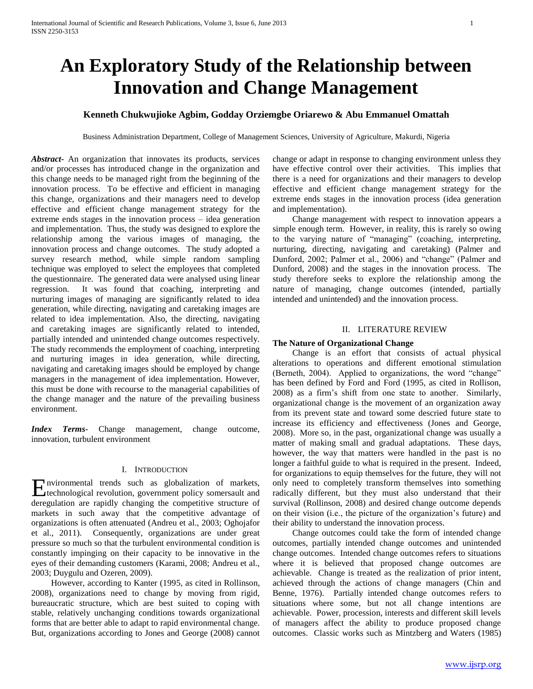# **An Exploratory Study of the Relationship between Innovation and Change Management**

## **Kenneth Chukwujioke Agbim, Godday Orziemgbe Oriarewo & Abu Emmanuel Omattah**

Business Administration Department, College of Management Sciences, University of Agriculture, Makurdi, Nigeria

*Abstract***-** An organization that innovates its products, services and/or processes has introduced change in the organization and this change needs to be managed right from the beginning of the innovation process. To be effective and efficient in managing this change, organizations and their managers need to develop effective and efficient change management strategy for the extreme ends stages in the innovation process – idea generation and implementation. Thus, the study was designed to explore the relationship among the various images of managing, the innovation process and change outcomes. The study adopted a survey research method, while simple random sampling technique was employed to select the employees that completed the questionnaire. The generated data were analysed using linear regression. It was found that coaching, interpreting and nurturing images of managing are significantly related to idea generation, while directing, navigating and caretaking images are related to idea implementation. Also, the directing, navigating and caretaking images are significantly related to intended, partially intended and unintended change outcomes respectively. The study recommends the employment of coaching, interpreting and nurturing images in idea generation, while directing, navigating and caretaking images should be employed by change managers in the management of idea implementation. However, this must be done with recourse to the managerial capabilities of the change manager and the nature of the prevailing business environment.

*Index Terms*- Change management, change outcome, innovation, turbulent environment

## I. INTRODUCTION

nvironmental trends such as globalization of markets, **E**nvironmental trends such as globalization of markets,<br>technological revolution, government policy somersault and deregulation are rapidly changing the competitive structure of markets in such away that the competitive advantage of organizations is often attenuated (Andreu et al., 2003; Oghojafor et al., 2011). Consequently, organizations are under great pressure so much so that the turbulent environmental condition is constantly impinging on their capacity to be innovative in the eyes of their demanding customers (Karami, 2008; Andreu et al., 2003; Duygulu and Ozeren, 2009).

 However, according to Kanter (1995, as cited in Rollinson, 2008), organizations need to change by moving from rigid, bureaucratic structure, which are best suited to coping with stable, relatively unchanging conditions towards organizational forms that are better able to adapt to rapid environmental change. But, organizations according to Jones and George (2008) cannot change or adapt in response to changing environment unless they have effective control over their activities. This implies that there is a need for organizations and their managers to develop effective and efficient change management strategy for the extreme ends stages in the innovation process (idea generation and implementation).

 Change management with respect to innovation appears a simple enough term. However, in reality, this is rarely so owing to the varying nature of "managing" (coaching, interpreting, nurturing, directing, navigating and caretaking) (Palmer and Dunford, 2002; Palmer et al., 2006) and "change" (Palmer and Dunford, 2008) and the stages in the innovation process. The study therefore seeks to explore the relationship among the nature of managing, change outcomes (intended, partially intended and unintended) and the innovation process.

#### II. LITERATURE REVIEW

#### **The Nature of Organizational Change**

 Change is an effort that consists of actual physical alterations to operations and different emotional stimulation (Berneth, 2004). Applied to organizations, the word "change" has been defined by Ford and Ford (1995, as cited in Rollison, 2008) as a firm's shift from one state to another. Similarly, organizational change is the movement of an organization away from its prevent state and toward some descried future state to increase its efficiency and effectiveness (Jones and George, 2008). More so, in the past, organizational change was usually a matter of making small and gradual adaptations. These days, however, the way that matters were handled in the past is no longer a faithful guide to what is required in the present. Indeed, for organizations to equip themselves for the future, they will not only need to completely transform themselves into something radically different, but they must also understand that their survival (Rollinson, 2008) and desired change outcome depends on their vision (i.e., the picture of the organization's future) and their ability to understand the innovation process.

 Change outcomes could take the form of intended change outcomes, partially intended change outcomes and unintended change outcomes. Intended change outcomes refers to situations where it is believed that proposed change outcomes are achievable. Change is treated as the realization of prior intent, achieved through the actions of change managers (Chin and Benne, 1976). Partially intended change outcomes refers to situations where some, but not all change intentions are achievable. Power, procession, interests and different skill levels of managers affect the ability to produce proposed change outcomes. Classic works such as Mintzberg and Waters (1985)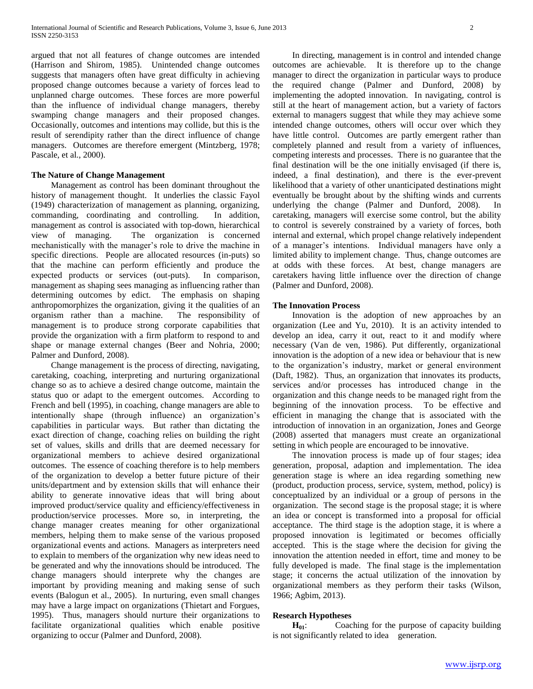argued that not all features of change outcomes are intended (Harrison and Shirom, 1985). Unintended change outcomes suggests that managers often have great difficulty in achieving proposed change outcomes because a variety of forces lead to unplanned charge outcomes. These forces are more powerful than the influence of individual change managers, thereby swamping change managers and their proposed changes. Occasionally, outcomes and intentions may collide, but this is the result of serendipity rather than the direct influence of change managers. Outcomes are therefore emergent (Mintzberg, 1978; Pascale, et al., 2000).

#### **The Nature of Change Management**

 Management as control has been dominant throughout the history of management thought. It underlies the classic Fayol (1949) characterization of management as planning, organizing, commanding, coordinating and controlling. In addition, management as control is associated with top-down, hierarchical view of managing. The organization is concerned mechanistically with the manager's role to drive the machine in specific directions. People are allocated resources (in-puts) so that the machine can perform efficiently and produce the expected products or services (out-puts). In comparison, management as shaping sees managing as influencing rather than determining outcomes by edict. The emphasis on shaping anthropomorphizes the organization, giving it the qualities of an organism rather than a machine. The responsibility of management is to produce strong corporate capabilities that provide the organization with a firm platform to respond to and shape or manage external changes (Beer and Nohria, 2000; Palmer and Dunford, 2008).

 Change management is the process of directing, navigating, caretaking, coaching, interpreting and nurturing organizational change so as to achieve a desired change outcome, maintain the status quo or adapt to the emergent outcomes. According to French and bell (1995), in coaching, change managers are able to intentionally shape (through influence) an organization's capabilities in particular ways. But rather than dictating the exact direction of change, coaching relies on building the right set of values, skills and drills that are deemed necessary for organizational members to achieve desired organizational outcomes. The essence of coaching therefore is to help members of the organization to develop a better future picture of their units/department and by extension skills that will enhance their ability to generate innovative ideas that will bring about improved product/service quality and efficiency/effectiveness in production/service processes. More so, in interpreting, the change manager creates meaning for other organizational members, helping them to make sense of the various proposed organizational events and actions. Managers as interpreters need to explain to members of the organization why new ideas need to be generated and why the innovations should be introduced. The change managers should interprete why the changes are important by providing meaning and making sense of such events (Balogun et al., 2005). In nurturing, even small changes may have a large impact on organizations (Thietart and Forgues, 1995). Thus, managers should nurture their organizations to facilitate organizational qualities which enable positive organizing to occur (Palmer and Dunford, 2008).

 In directing, management is in control and intended change outcomes are achievable. It is therefore up to the change manager to direct the organization in particular ways to produce the required change (Palmer and Dunford, 2008) by implementing the adopted innovation. In navigating, control is still at the heart of management action, but a variety of factors external to managers suggest that while they may achieve some intended change outcomes, others will occur over which they have little control. Outcomes are partly emergent rather than completely planned and result from a variety of influences, competing interests and processes. There is no guarantee that the final destination will be the one initially envisaged (if there is, indeed, a final destination), and there is the ever-prevent likelihood that a variety of other unanticipated destinations might eventually be brought about by the shifting winds and currents underlying the change (Palmer and Dunford, 2008). In caretaking, managers will exercise some control, but the ability to control is severely constrained by a variety of forces, both internal and external, which propel change relatively independent of a manager's intentions. Individual managers have only a limited ability to implement change. Thus, change outcomes are at odds with these forces. At best, change managers are caretakers having little influence over the direction of change (Palmer and Dunford, 2008).

#### **The Innovation Process**

 Innovation is the adoption of new approaches by an organization (Lee and Yu, 2010). It is an activity intended to develop an idea, carry it out, react to it and modify where necessary (Van de ven, 1986). Put differently, organizational innovation is the adoption of a new idea or behaviour that is new to the organization's industry, market or general environment (Daft, 1982). Thus, an organization that innovates its products, services and/or processes has introduced change in the organization and this change needs to be managed right from the beginning of the innovation process. To be effective and efficient in managing the change that is associated with the introduction of innovation in an organization, Jones and George (2008) asserted that managers must create an organizational setting in which people are encouraged to be innovative.

 The innovation process is made up of four stages; idea generation, proposal, adaption and implementation. The idea generation stage is where an idea regarding something new (product, production process, service, system, method, policy) is conceptualized by an individual or a group of persons in the organization. The second stage is the proposal stage; it is where an idea or concept is transformed into a proposal for official acceptance. The third stage is the adoption stage, it is where a proposed innovation is legitimated or becomes officially accepted. This is the stage where the decision for giving the innovation the attention needed in effort, time and money to be fully developed is made. The final stage is the implementation stage; it concerns the actual utilization of the innovation by organizational members as they perform their tasks (Wilson, 1966; Agbim, 2013).

#### **Research Hypotheses**

**H<sub>01</sub>:** Coaching for the purpose of capacity building is not significantly related to idea generation.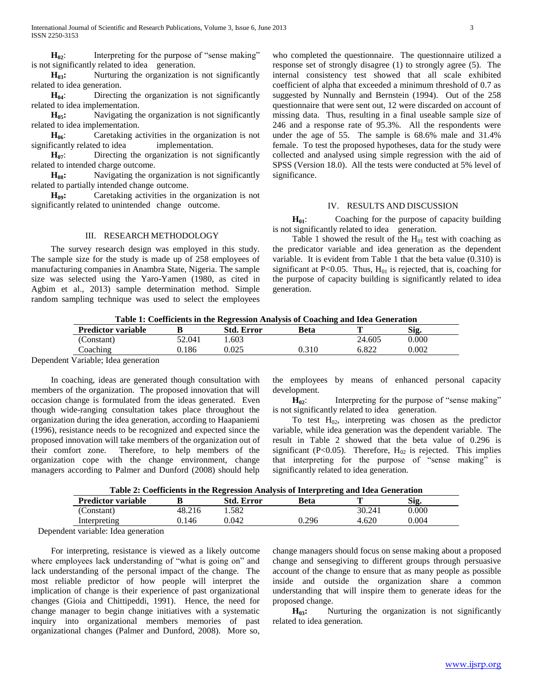**H**<sub>02</sub>: Interpreting for the purpose of "sense making" is not significantly related to idea generation.

**H**<sub>03</sub>**:** Nurturing the organization is not significantly related to idea generation.

 **H04**: Directing the organization is not significantly related to idea implementation.

**H**<sub>05</sub>**:** Navigating the organization is not significantly related to idea implementation.

**H**<sup>06</sup>: Caretaking activities in the organization is not significantly related to idea implementation.

**H**<sub>07</sub>: Directing the organization is not significantly related to intended charge outcome.

**H**<sub>08</sub>: Navigating the organization is not significantly related to partially intended change outcome.

 **H09:** Caretaking activities in the organization is not significantly related to unintended change outcome.

III. RESEARCH METHODOLOGY The survey research design was employed in this study. The sample size for the study is made up of 258 employees of manufacturing companies in Anambra State, Nigeria. The sample size was selected using the Yaro-Yamen (1980, as cited in Agbim et al., 2013) sample determination method. Simple random sampling technique was used to select the employees

## IV. RESULTS AND DISCUSSION **H<sub>01</sub>:** Coaching for the purpose of capacity building is not significantly related to idea generation.

Table 1 showed the result of the  $H<sub>01</sub>$  test with coaching as the predicator variable and idea generation as the dependent

who completed the questionnaire. The questionnaire utilized a response set of strongly disagree (1) to strongly agree (5). The internal consistency test showed that all scale exhibited coefficient of alpha that exceeded a minimum threshold of 0.7 as suggested by Nunnally and Bernstein (1994). Out of the 258 questionnaire that were sent out, 12 were discarded on account of missing data. Thus, resulting in a final useable sample size of 246 and a response rate of 95.3%. All the respondents were under the age of 55. The sample is 68.6% male and 31.4% female. To test the proposed hypotheses, data for the study were collected and analysed using simple regression with the aid of SPSS (Version 18.0). All the tests were conducted at 5% level of

variable. It is evident from Table 1 that the beta value (0.310) is significant at P<0.05. Thus,  $H<sub>01</sub>$  is rejected, that is, coaching for the purpose of capacity building is significantly related to idea generation.

**Table 1: Coefficients in the Regression Analysis of Coaching and Idea Generation**

significance.

| <b>Predictor variable</b>                                                                                                                       |        | Std. Error | Beta  |        | Sig   |  |
|-------------------------------------------------------------------------------------------------------------------------------------------------|--------|------------|-------|--------|-------|--|
| Constant)                                                                                                                                       | 52.041 | .603       |       | 24.605 | 0.000 |  |
| Caching                                                                                                                                         | 186    | 0.025      | 0.310 | 6.822  | 0.002 |  |
| the contract of the contract of the contract of the contract of the contract of the contract of the contract of<br>the company's company's com- |        |            |       |        |       |  |

Dependent Variable; Idea generation

 In coaching, ideas are generated though consultation with members of the organization. The proposed innovation that will occasion change is formulated from the ideas generated. Even though wide-ranging consultation takes place throughout the organization during the idea generation, according to Haapaniemi (1996), resistance needs to be recognized and expected since the proposed innovation will take members of the organization out of their comfort zone. Therefore, to help members of the organization cope with the change environment, change managers according to Palmer and Dunford (2008) should help

the employees by means of enhanced personal capacity development.

**H**<sub>02</sub>: Interpreting for the purpose of "sense making" is not significantly related to idea generation.

To test  $H_{02}$ , interpreting was chosen as the predictor variable, while idea generation was the dependent variable. The result in Table 2 showed that the beta value of 0.296 is significant (P<0.05). Therefore,  $H_{02}$  is rejected. This implies that interpreting for the purpose of "sense making" is significantly related to idea generation.

| Table 2: Coefficients in the Regression Analysis of Interpreting and Idea Generation |  |
|--------------------------------------------------------------------------------------|--|
|--------------------------------------------------------------------------------------|--|

| <b>Predictor variable</b>           |        | <b>Std. Error</b> | Beta  |        | Sig   |
|-------------------------------------|--------|-------------------|-------|--------|-------|
| Constant)                           | 48.216 | .582              |       | 30.241 | 0.000 |
| Interpreting                        | ).146  | 0.042             | 0.296 | .620   | ).004 |
| $1 \quad 1 \quad 1 \quad 1 \quad 1$ |        |                   |       |        |       |

Dependent variable: Idea generation

 For interpreting, resistance is viewed as a likely outcome where employees lack understanding of "what is going on" and lack understanding of the personal impact of the change. The most reliable predictor of how people will interpret the implication of change is their experience of past organizational changes (Gioia and Chittipeddi, 1991). Hence, the need for change manager to begin change initiatives with a systematic inquiry into organizational members memories of past organizational changes (Palmer and Dunford, 2008). More so,

change managers should focus on sense making about a proposed change and sensegiving to different groups through persuasive account of the change to ensure that as many people as possible inside and outside the organization share a common understanding that will inspire them to generate ideas for the proposed change.

**H**<sub>03</sub>**:** Nurturing the organization is not significantly related to idea generation.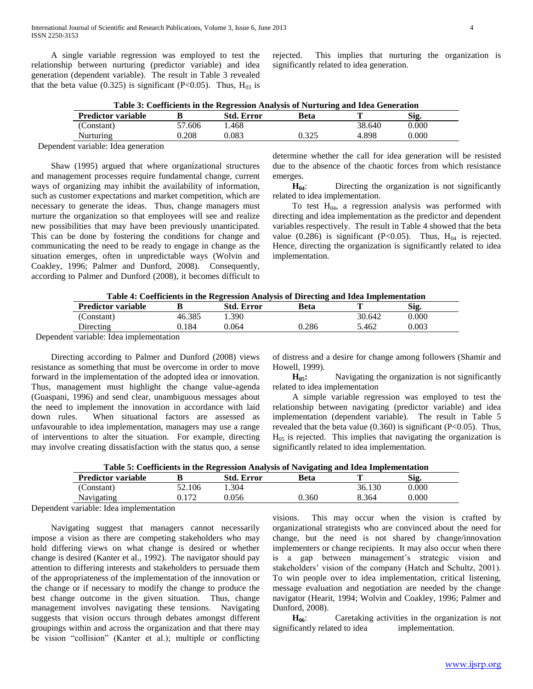A single variable regression was employed to test the relationship between nurturing (predictor variable) and idea generation (dependent variable). The result in Table 3 revealed that the beta value (0.325) is significant (P<0.05). Thus,  $H_{03}$  is

rejected. This implies that nurturing the organization is significantly related to idea generation.

| Table 3: Coefficients in the Regression Analysis of Nurturing and Idea Generation |  |  |
|-----------------------------------------------------------------------------------|--|--|
|-----------------------------------------------------------------------------------|--|--|

| <b>Predictor variable</b> |        | <b>Std. Error</b> | Beta  |        | Sig   |  |
|---------------------------|--------|-------------------|-------|--------|-------|--|
| (Constant)                | 57.606 | .468              |       | 38.640 | 0.000 |  |
| Nurturing                 | 0.208  | 0.083             | 0.325 | .898   | 0.000 |  |

Dependent variable: Idea generation

 Shaw (1995) argued that where organizational structures and management processes require fundamental change, current ways of organizing may inhibit the availability of information, such as customer expectations and market competition, which are necessary to generate the ideas. Thus, change managers must nurture the organization so that employees will see and realize new possibilities that may have been previously unanticipated. This can be done by fostering the conditions for change and communicating the need to be ready to engage in change as the situation emerges, often in unpredictable ways (Wolvin and Coakley, 1996; Palmer and Dunford, 2008). Consequently, according to Palmer and Dunford (2008), it becomes difficult to

determine whether the call for idea generation will be resisted due to the absence of the chaotic forces from which resistance emerges.

**H**<sub>04</sub>: Directing the organization is not significantly related to idea implementation.

To test  $H<sub>04</sub>$ , a regression analysis was performed with directing and idea implementation as the predictor and dependent variables respectively. The result in Table 4 showed that the beta value (0.286) is significant (P<0.05). Thus,  $H_{04}$  is rejected. Hence, directing the organization is significantly related to idea implementation.

| Table 4: Coefficients in the Regression Analysis of Directing and Idea Implementation |
|---------------------------------------------------------------------------------------|
|---------------------------------------------------------------------------------------|

| <b>Predictor variable</b> |        | Std. Error | <b>Beta</b> |        | Sig.      |
|---------------------------|--------|------------|-------------|--------|-----------|
| (Constant)                | 46.385 | .390       |             | 30.642 | $0.000\,$ |
| Directing                 | 0.184  | 0.064      | 0.286       | 5.462  | 0.003     |
| $\cdots$                  |        |            |             |        |           |

Dependent variable: Idea implementation

 Directing according to Palmer and Dunford (2008) views resistance as something that must be overcome in order to move forward in the implementation of the adopted idea or innovation. Thus, management must highlight the change value-agenda (Guaspani, 1996) and send clear, unambiguous messages about the need to implement the innovation in accordance with laid down rules. When situational factors are assessed as unfavourable to idea implementation, managers may use a range of interventions to alter the situation. For example, directing may involve creating dissatisfaction with the status quo, a sense

of distress and a desire for change among followers (Shamir and Howell, 1999).

**H**<sub>05</sub>**:** Navigating the organization is not significantly related to idea implementation

 A simple variable regression was employed to test the relationship between navigating (predictor variable) and idea implementation (dependent variable). The result in Table 5 revealed that the beta value  $(0.360)$  is significant  $(P<0.05)$ . Thus,  $H<sub>05</sub>$  is rejected. This implies that navigating the organization is significantly related to idea implementation.

| Table 5: Coefficients in the Regression Analysis of Navigating and Idea Implementation |  |  |
|----------------------------------------------------------------------------------------|--|--|
|                                                                                        |  |  |

| <b>Predictor variable</b> |        | <b>Std. Error</b> | Beta  | m      | Sig   |
|---------------------------|--------|-------------------|-------|--------|-------|
| Constant)                 | 52.106 | . 304             |       | 36.130 | 0.000 |
| Navigating                | 0.172  | ).056             | 0.360 | 8.364  | 0.000 |

Dependent variable: Idea implementation

 Navigating suggest that managers cannot necessarily impose a vision as there are competing stakeholders who may hold differing views on what change is desired or whether change is desired (Kanter et al., 1992). The navigator should pay attention to differing interests and stakeholders to persuade them of the appropriateness of the implementation of the innovation or the change or if necessary to modify the change to produce the best change outcome in the given situation. Thus, change management involves navigating these tensions. Navigating suggests that vision occurs through debates amongst different groupings within and across the organization and that there may be vision "collision" (Kanter et al.); multiple or conflicting

visions. This may occur when the vision is crafted by organizational strategists who are convinced about the need for change, but the need is not shared by change/innovation implementers or change recipients. It may also occur when there is a gap between management's strategic vision and stakeholders' vision of the company (Hatch and Schultz, 2001). To win people over to idea implementation, critical listening, message evaluation and negotiation are needed by the change navigator (Hearit, 1994; Wolvin and Coakley, 1996; Palmer and Dunford, 2008).

 **H06**: Caretaking activities in the organization is not significantly related to idea implementation.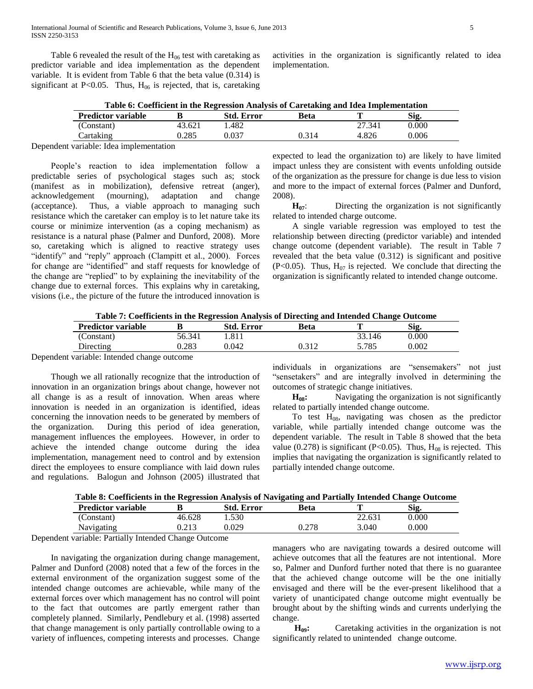Table 6 revealed the result of the  $H_{06}$  test with caretaking as predictor variable and idea implementation as the dependent variable. It is evident from Table 6 that the beta value (0.314) is significant at P<0.05. Thus,  $H_{06}$  is rejected, that is, caretaking

activities in the organization is significantly related to idea implementation.

|  | Table 6: Coefficient in the Regression Analysis of Caretaking and Idea Implementation |
|--|---------------------------------------------------------------------------------------|
|  |                                                                                       |

| <b>Predictor variable</b> |        | Std. Error | Beta  |        | Sig.  |  |
|---------------------------|--------|------------|-------|--------|-------|--|
| (Constant)                | 43.621 | .482       |       | 27.341 | 0.000 |  |
| crtaking                  | 0.285  | 0.037      | 0.314 | 4.826  | 0.006 |  |

Dependent variable: Idea implementation

 People's reaction to idea implementation follow a predictable series of psychological stages such as; stock (manifest as in mobilization), defensive retreat (anger), acknowledgement (mourning), adaptation and change (acceptance). Thus, a viable approach to managing such resistance which the caretaker can employ is to let nature take its course or minimize intervention (as a coping mechanism) as resistance is a natural phase (Palmer and Dunford, 2008). More so, caretaking which is aligned to reactive strategy uses "identify" and "reply" approach (Clampitt et al., 2000). Forces for change are "identified" and staff requests for knowledge of the change are "replied" to by explaining the inevitability of the change due to external forces. This explains why in caretaking, visions (i.e., the picture of the future the introduced innovation is

expected to lead the organization to) are likely to have limited impact unless they are consistent with events unfolding outside of the organization as the pressure for change is due less to vision and more to the impact of external forces (Palmer and Dunford, 2008).

**H**<sub>07</sub>: Directing the organization is not significantly related to intended charge outcome.

 A single variable regression was employed to test the relationship between directing (predictor variable) and intended change outcome (dependent variable). The result in Table 7 revealed that the beta value (0.312) is significant and positive  $(P<0.05)$ . Thus, H<sub>07</sub> is rejected. We conclude that directing the organization is significantly related to intended change outcome.

**Table 7: Coefficients in the Regression Analysis of Directing and Intended Change Outcome**

| <b>Predictor variable</b> |        | Std.<br>Error | Beta        |        | Sig   |
|---------------------------|--------|---------------|-------------|--------|-------|
| (Constant)                | 56.341 | l.811         |             | 33.146 | 0.000 |
| Directing                 | 0.283  | 0.042         | $\cdot$ 210 | 5.785  | 0.002 |
| .                         |        |               |             |        |       |

Dependent variable: Intended change outcome

 Though we all rationally recognize that the introduction of innovation in an organization brings about change, however not all change is as a result of innovation. When areas where innovation is needed in an organization is identified, ideas concerning the innovation needs to be generated by members of the organization. During this period of idea generation, management influences the employees. However, in order to achieve the intended change outcome during the idea implementation, management need to control and by extension direct the employees to ensure compliance with laid down rules and regulations. Balogun and Johnson (2005) illustrated that

individuals in organizations are "sensemakers" not just "sensetakers" and are integrally involved in determining the outcomes of strategic change initiatives.

**H**<sub>08</sub>**:** Navigating the organization is not significantly related to partially intended change outcome.

To test  $H_{08}$ , navigating was chosen as the predictor variable, while partially intended change outcome was the dependent variable. The result in Table 8 showed that the beta value (0.278) is significant (P<0.05). Thus,  $H_{08}$  is rejected. This implies that navigating the organization is significantly related to partially intended change outcome.

| Table 8: Coefficients in the Regression Analysis of Navigating and Partially Intended Change Outcome |  |  |  |  |  |
|------------------------------------------------------------------------------------------------------|--|--|--|--|--|
|------------------------------------------------------------------------------------------------------|--|--|--|--|--|

| <b>Predictor variable</b>                                       |                  | Std.<br>Error | Beta          | π      | Sig   |  |
|-----------------------------------------------------------------|------------------|---------------|---------------|--------|-------|--|
| (Constant)                                                      | 46.628           | 1.530         |               | 22.631 | 0.000 |  |
| Navigating                                                      | ገ ግ 1 ገ<br>0.ZIJ | 0.029         | 270<br>∪ .∠ / | 3.040  | 0.000 |  |
| $\mathbf{r}$ and $\mathbf{r}$ and $\mathbf{r}$ and $\mathbf{r}$ | $\sim$ $\sim$    |               |               |        |       |  |

Dependent variable: Partially Intended Change Outcome

 In navigating the organization during change management, Palmer and Dunford (2008) noted that a few of the forces in the external environment of the organization suggest some of the intended change outcomes are achievable, while many of the external forces over which management has no control will point to the fact that outcomes are partly emergent rather than completely planned. Similarly, Pendlebury et al. (1998) asserted that change management is only partially controllable owing to a variety of influences, competing interests and processes. Change managers who are navigating towards a desired outcome will achieve outcomes that all the features are not intentional. More so, Palmer and Dunford further noted that there is no guarantee that the achieved change outcome will be the one initially envisaged and there will be the ever-present likelihood that a variety of unanticipated change outcome might eventually be brought about by the shifting winds and currents underlying the change.

 **H09:** Caretaking activities in the organization is not significantly related to unintended change outcome.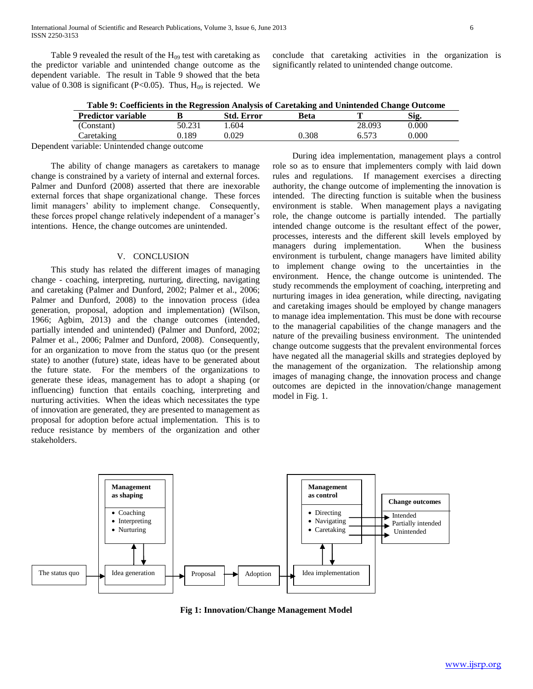Table 9 revealed the result of the  $H_{09}$  test with caretaking as the predictor variable and unintended change outcome as the dependent variable. The result in Table 9 showed that the beta value of 0.308 is significant (P<0.05). Thus,  $H_{09}$  is rejected. We

conclude that caretaking activities in the organization is significantly related to unintended change outcome.

**Table 9: Coefficients in the Regression Analysis of Caretaking and Unintended Change Outcome**

| <b>Predictor variable</b> |        | <b>Std. Error</b> | Beta  |              | Sig   |  |
|---------------------------|--------|-------------------|-------|--------------|-------|--|
| Constant <sup>\</sup>     | 50.231 | .604              |       | 28.093       | 0.000 |  |
| aretaking                 | 189.ر  | <b>J.029</b>      | 0.308 | $-57$<br>ບ.ບ | 0.000 |  |

Dependent variable: Unintended change outcome

 The ability of change managers as caretakers to manage change is constrained by a variety of internal and external forces. Palmer and Dunford (2008) asserted that there are inexorable external forces that shape organizational change. These forces limit managers' ability to implement change. Consequently, these forces propel change relatively independent of a manager's intentions. Hence, the change outcomes are unintended.

#### V. CONCLUSION

 This study has related the different images of managing change - coaching, interpreting, nurturing, directing, navigating and caretaking (Palmer and Dunford, 2002; Palmer et al., 2006; Palmer and Dunford, 2008) to the innovation process (idea generation, proposal, adoption and implementation) (Wilson, 1966; Agbim, 2013) and the change outcomes (intended, partially intended and unintended) (Palmer and Dunford, 2002; Palmer et al., 2006; Palmer and Dunford, 2008). Consequently, for an organization to move from the status quo (or the present state) to another (future) state, ideas have to be generated about the future state. For the members of the organizations to generate these ideas, management has to adopt a shaping (or influencing) function that entails coaching, interpreting and nurturing activities. When the ideas which necessitates the type of innovation are generated, they are presented to management as proposal for adoption before actual implementation. This is to reduce resistance by members of the organization and other stakeholders.

 During idea implementation, management plays a control role so as to ensure that implementers comply with laid down rules and regulations. If management exercises a directing authority, the change outcome of implementing the innovation is intended. The directing function is suitable when the business environment is stable. When management plays a navigating role, the change outcome is partially intended. The partially intended change outcome is the resultant effect of the power, processes, interests and the different skill levels employed by managers during implementation. When the business environment is turbulent, change managers have limited ability to implement change owing to the uncertainties in the environment. Hence, the change outcome is unintended. The study recommends the employment of coaching, interpreting and nurturing images in idea generation, while directing, navigating and caretaking images should be employed by change managers to manage idea implementation. This must be done with recourse to the managerial capabilities of the change managers and the nature of the prevailing business environment. The unintended change outcome suggests that the prevalent environmental forces have negated all the managerial skills and strategies deployed by the management of the organization. The relationship among images of managing change, the innovation process and change outcomes are depicted in the innovation/change management model in Fig. 1.



**Fig 1: Innovation/Change Management Model**